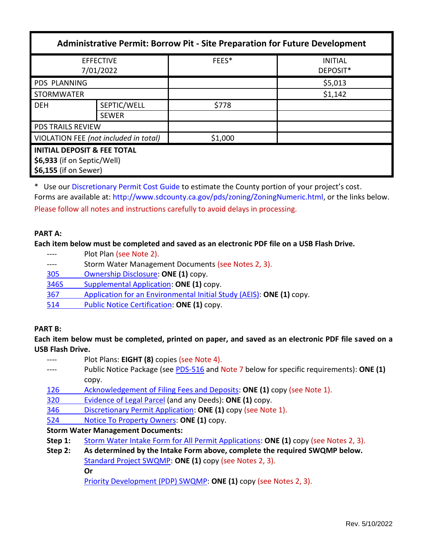| <b>Administrative Permit: Borrow Pit - Site Preparation for Future Development</b>             |              |         |                            |  |  |
|------------------------------------------------------------------------------------------------|--------------|---------|----------------------------|--|--|
| <b>EFFECTIVE</b><br>7/01/2022                                                                  |              | FEES*   | <b>INITIAL</b><br>DEPOSIT* |  |  |
| <b>PDS PLANNING</b>                                                                            |              |         | \$5,013                    |  |  |
| <b>STORMWATER</b>                                                                              |              |         | \$1,142                    |  |  |
| <b>DEH</b>                                                                                     | SEPTIC/WELL  | \$778   |                            |  |  |
|                                                                                                | <b>SEWER</b> |         |                            |  |  |
| <b>PDS TRAILS REVIEW</b>                                                                       |              |         |                            |  |  |
| VIOLATION FEE (not included in total)                                                          |              | \$1,000 |                            |  |  |
| <b>INITIAL DEPOSIT &amp; FEE TOTAL</b><br>\$6,933 (if on Septic/Well)<br>\$6,155 (if on Sewer) |              |         |                            |  |  |

\* Use ou[r Discretionary Permit Cost Guide](http://www.sandiegocounty.gov/content/dam/sdc/pds/docs/Discretionary_Permit_Cost_Guide.xlsx) to estimate the County portion of your project's cost. Forms are available at[: http://www.sdcounty.ca.gov/pds/zoning/ZoningNumeric.html,](http://www.sdcounty.ca.gov/pds/zoning/ZoningNumeric.html) or the links below. Please follow all notes and instructions carefully to avoid delays in processing.

### **PART A:**

**Each item below must be completed and saved as an electronic PDF file on a USB Flash Drive.**

- ---- Plot Plan (see Note 2).
- ---- Storm Water Management Documents (see Notes 2, 3).
- [305 Ownership Disclosure:](https://www.sandiegocounty.gov/pds/zoning/formfields/PDS-PLN-305.pdf) **ONE (1)** copy.
- [346S Supplemental Application:](https://www.sandiegocounty.gov/pds/zoning/formfields/PDS-PLN-346S.pdf) **ONE (1)** copy.
- 367 [Application for an Environmental Initial Study \(AEIS\):](https://www.sandiegocounty.gov/pds/zoning/formfields/PDS-PLN-367.pdf) **ONE (1)** copy.
- [514 Public Notice Certification:](https://www.sandiegocounty.gov/pds/zoning/formfields/PDS-PLN-514.pdf) **ONE (1)** copy.

## **PART B:**

**Each item below must be completed, printed on paper, and saved as an electronic PDF file saved on a USB Flash Drive.**

| $\frac{1}{2}$                            | Plot Plans: EIGHT (8) copies (see Note 4).                                              |  |  |  |
|------------------------------------------|-----------------------------------------------------------------------------------------|--|--|--|
|                                          | Public Notice Package (see PDS-516 and Note 7 below for specific requirements): ONE (1) |  |  |  |
|                                          | copy.                                                                                   |  |  |  |
| 126                                      | Acknowledgement of Filing Fees and Deposits: ONE (1) copy (see Note 1).                 |  |  |  |
| 320                                      | Evidence of Legal Parcel (and any Deeds): ONE (1) copy.                                 |  |  |  |
| 346                                      | Discretionary Permit Application: ONE (1) copy (see Note 1).                            |  |  |  |
| 524                                      | Notice To Property Owners: ONE (1) copy.                                                |  |  |  |
| <b>Storm Water Management Documents:</b> |                                                                                         |  |  |  |
| Step 1:                                  | Storm Water Intake Form for All Permit Applications: ONE (1) copy (see Notes 2, 3).     |  |  |  |
| Step 2:                                  | As determined by the Intake Form above, complete the required SWQMP below.              |  |  |  |

[Standard Project SWQMP:](http://www.sandiegocounty.gov/content/dam/sdc/pds/zoning/formfields/SWQMP-Standard.pdf) **ONE (1)** copy (see Notes 2, 3).

**Or**

[Priority Development \(PDP\) SWQMP:](https://www.sandiegocounty.gov/content/sdc/dpw/watersheds/DevelopmentandConstruction/BMP_Design_Manual.html) **ONE (1)** copy (see Notes 2, 3).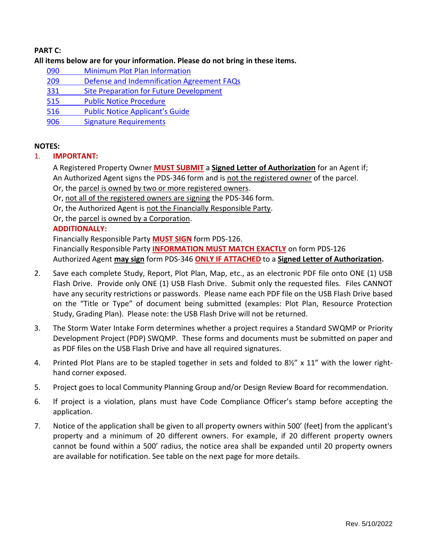# **PART C:**

### **All items below are for your information. Please do not bring in these items.**

- 090 [Minimum Plot Plan Information](http://www.sdcounty.ca.gov/pds/docs/pds090.pdf)
- 209 [Defense and Indemnification Agreement FAQs](https://www.sandiegocounty.gov/pds/zoning/formfields/PDS-PLN-209.pdf)
- 331 [Site Preparation for Future Development](https://www.sandiegocounty.gov/pds/zoning/formfields/PDS-PLN-331.pdf)
- [515 Public Notice Procedure](https://www.sandiegocounty.gov/pds/zoning/formfields/PDS-PLN-515.pdf)
- 516 Public No[tice Applicant's Guide](https://www.sandiegocounty.gov/pds/zoning/formfields/PDS-PLN-516.pdf)
- [906 Signature Requirements](https://www.sandiegocounty.gov/pds/zoning/formfields/PDS-PLN-906.pdf)

#### **NOTES:**

- 1. **IMPORTANT:** 
	- A Registered Property Owner **MUST SUBMIT** a **Signed Letter of Authorization** for an Agent if; An Authorized Agent signs the PDS-346 form and is not the registered owner of the parcel.
	- Or, the parcel is owned by two or more registered owners.
	- Or, not all of the registered owners are signing the PDS-346 form.
	- Or, the Authorized Agent is not the Financially Responsible Party.
	- Or, the parcel is owned by a Corporation.

## **ADDITIONALLY:**

Financially Responsible Party **MUST SIGN** form PDS-126. Financially Responsible Party **INFORMATION MUST MATCH EXACTLY** on form PDS-126 Authorized Agent **may sign** form PDS-346 **ONLY IF ATTACHED** to a **Signed Letter of Authorization.**

- 2. Save each complete Study, Report, Plot Plan, Map, etc., as an electronic PDF file onto ONE (1) USB Flash Drive. Provide only ONE (1) USB Flash Drive. Submit only the requested files. Files CANNOT have any security restrictions or passwords. Please name each PDF file on the USB Flash Drive based on the "Title or Type" of document being submitted (examples: Plot Plan, Resource Protection Study, Grading Plan). Please note: the USB Flash Drive will not be returned.
- 3. The Storm Water Intake Form determines whether a project requires a Standard SWQMP or Priority Development Project (PDP) SWQMP. These forms and documents must be submitted on paper and as PDF files on the USB Flash Drive and have all required signatures.
- 4. Printed Plot Plans are to be stapled together in sets and folded to 8½" x 11" with the lower righthand corner exposed.
- 5. Project goes to local Community Planning Group and/or Design Review Board for recommendation.
- 6. If project is a violation, plans must have Code Compliance Officer's stamp before accepting the application.
- 7. Notice of the application shall be given to all property owners within 500' (feet) from the applicant's property and a minimum of 20 different owners. For example, if 20 different property owners cannot be found within a 500' radius, the notice area shall be expanded until 20 property owners are available for notification. See table on the next page for more details.